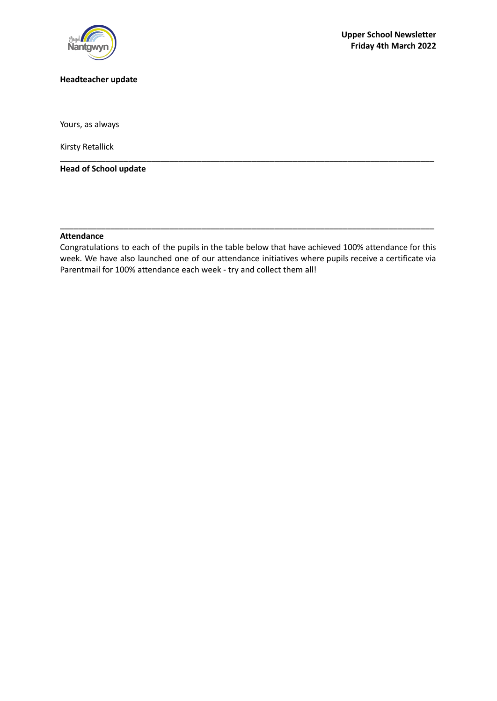

## **Headteacher update**

Yours, as always

Kirsty Retallick

**Head of School update**

## **Attendance**

Congratulations to each of the pupils in the table below that have achieved 100% attendance for this week. We have also launched one of our attendance initiatives where pupils receive a certificate via Parentmail for 100% attendance each week - try and collect them all!

\_\_\_\_\_\_\_\_\_\_\_\_\_\_\_\_\_\_\_\_\_\_\_\_\_\_\_\_\_\_\_\_\_\_\_\_\_\_\_\_\_\_\_\_\_\_\_\_\_\_\_\_\_\_\_\_\_\_\_\_\_\_\_\_\_\_\_\_\_\_\_\_\_\_\_\_\_\_\_\_\_\_

\_\_\_\_\_\_\_\_\_\_\_\_\_\_\_\_\_\_\_\_\_\_\_\_\_\_\_\_\_\_\_\_\_\_\_\_\_\_\_\_\_\_\_\_\_\_\_\_\_\_\_\_\_\_\_\_\_\_\_\_\_\_\_\_\_\_\_\_\_\_\_\_\_\_\_\_\_\_\_\_\_\_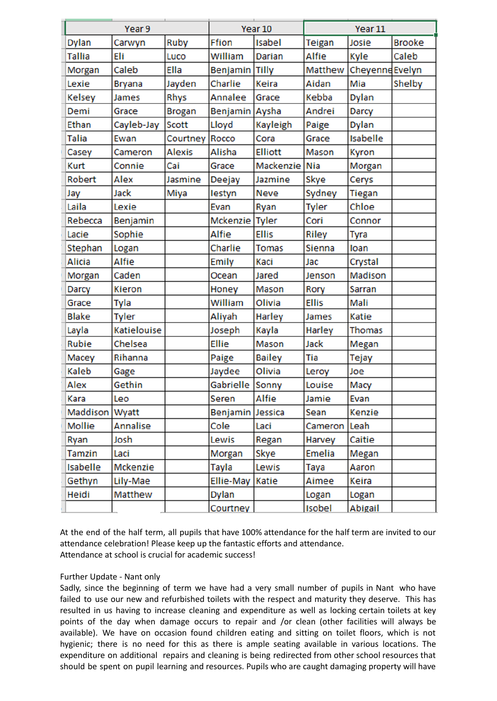| Year 9         |                    |               | Year 10          |                | Year 11        |                        |               |
|----------------|--------------------|---------------|------------------|----------------|----------------|------------------------|---------------|
| Dylan          | Carwyn             | Ruby          | Ffion            | Isabel         | <b>Teigan</b>  | Josie                  | <b>Brooke</b> |
| Tallia         | Eli                | Luco          | William          | <b>Darian</b>  | Alfie          | Kyle                   | Caleb         |
| Morgan         | Caleb              | Ella          | Benjamin         | <b>Tilly</b>   | Matthew        | <b>Cheyenne</b> Evelyn |               |
| Lexie          | <b>Bryana</b>      | Jayden        | Charlie          | Keira          | Aidan          | Mia                    | Shelby        |
| Kelsey         | James              | Rhys          | Annalee          | Grace          | Kebba          | <b>Dylan</b>           |               |
| Demi           | Grace              | <b>Brogan</b> | Benjamin         | Aysha          | Andrei         | <b>Darcy</b>           |               |
| Ethan          | Cayleb-Jay         | <b>Scott</b>  | Lloyd            | Kayleigh       | Paige          | <b>Dylan</b>           |               |
| Talia          | Ewan               | Courtney      | Rocco            | Cora           | Grace          | <b>Isabelle</b>        |               |
| Casey          | Cameron            | <b>Alexis</b> | Alisha           | <b>Elliott</b> | Mason          | <b>Kyron</b>           |               |
| <b>Kurt</b>    | Connie             | Cai           | Grace            | Mackenzie      | <b>Nia</b>     | Morgan                 |               |
| Robert         | Alex               | Jasmine       | Deejay           | <b>Jazmine</b> | Skye           | Cerys                  |               |
| Jay            | Jack               | Miya          | lestyn           | <b>Neve</b>    | Sydney         | <b>Tiegan</b>          |               |
| Laila          | Lexie              |               | Evan             | Ryan           | <b>Tyler</b>   | Chloe                  |               |
| Rebecca        | Benjamin           |               | Mckenzie Tyler   |                | Cori           | Connor                 |               |
| Lacie          | Sophie             |               | <b>Alfie</b>     | <b>Ellis</b>   | <b>Riley</b>   | Tyra                   |               |
| <b>Stephan</b> | Logan              |               | Charlie          | <b>Tomas</b>   | Sienna         | loan                   |               |
| Alicia         | <b>Alfie</b>       |               | Emily            | Kaci           | Jac            | Crystal                |               |
| Morgan         | Caden              |               | Ocean            | <b>Jared</b>   | Jenson         | Madison                |               |
| <b>Darcy</b>   | <b>Kieron</b>      |               | Honey            | Mason          | Rory           | Sarran                 |               |
| Grace          | Tyla               |               | William          | Olivia         | <b>Ellis</b>   | Mali                   |               |
| Blake          | <b>Tyler</b>       |               | Aliyah           | Harley         | James          | <b>Katie</b>           |               |
| Layla          | <b>Katielouise</b> |               | Joseph           | Kayla          | Harley         | <b>Thomas</b>          |               |
| Rubie          | Chelsea            |               | <b>Ellie</b>     | <b>Mason</b>   | <b>Jack</b>    | Megan                  |               |
| Macey          | Rihanna            |               | Paige            | <b>Bailey</b>  | Tia            | Tejay                  |               |
| Kaleb          | Gage               |               | Jaydee           | Olivia         | Leroy          | Joe                    |               |
| Alex           | Gethin             |               | Gabrielle        | Sonny          | Louise         | Macy                   |               |
| Kara           | Leo                |               | Seren            | Alfie          | Jamie          | Evan                   |               |
| Maddison Wyatt |                    |               | Benjamin Jessica |                | Sean           | <b>Kenzie</b>          |               |
| Mollie         | Annalise           |               | Cole             | Laci           | <b>Cameron</b> | Leah                   |               |
| Ryan           | Josh               |               | Lewis            | Regan          | Harvey         | Caitie                 |               |
| <b>Tamzin</b>  | Laci               |               | Morgan           | Skye           | Emelia         | Megan                  |               |
| Isabelle       | Mckenzie           |               | Tayla            | Lewis          | Taya           | Aaron                  |               |
| Gethyn         | Lily-Mae           |               | <b>Ellie-May</b> | Katie          | Aimee          | Keira                  |               |
| Heidi          | Matthew            |               | Dylan            |                | Logan          | Logan                  |               |
|                |                    |               | Courtney         |                | <b>Isobel</b>  | Abigail                |               |

At the end of the half term, all pupils that have 100% attendance for the half term are invited to our attendance celebration! Please keep up the fantastic efforts and attendance. Attendance at school is crucial for academic success!

## Further Update - Nant only

Sadly, since the beginning of term we have had a very small number of pupils in Nant who have failed to use our new and refurbished toilets with the respect and maturity they deserve. This has resulted in us having to increase cleaning and expenditure as well as locking certain toilets at key points of the day when damage occurs to repair and /or clean (other facilities will always be available). We have on occasion found children eating and sitting on toilet floors, which is not hygienic; there is no need for this as there is ample seating available in various locations. The expenditure on additional repairs and cleaning is being redirected from other school resources that should be spent on pupil learning and resources. Pupils who are caught damaging property will have